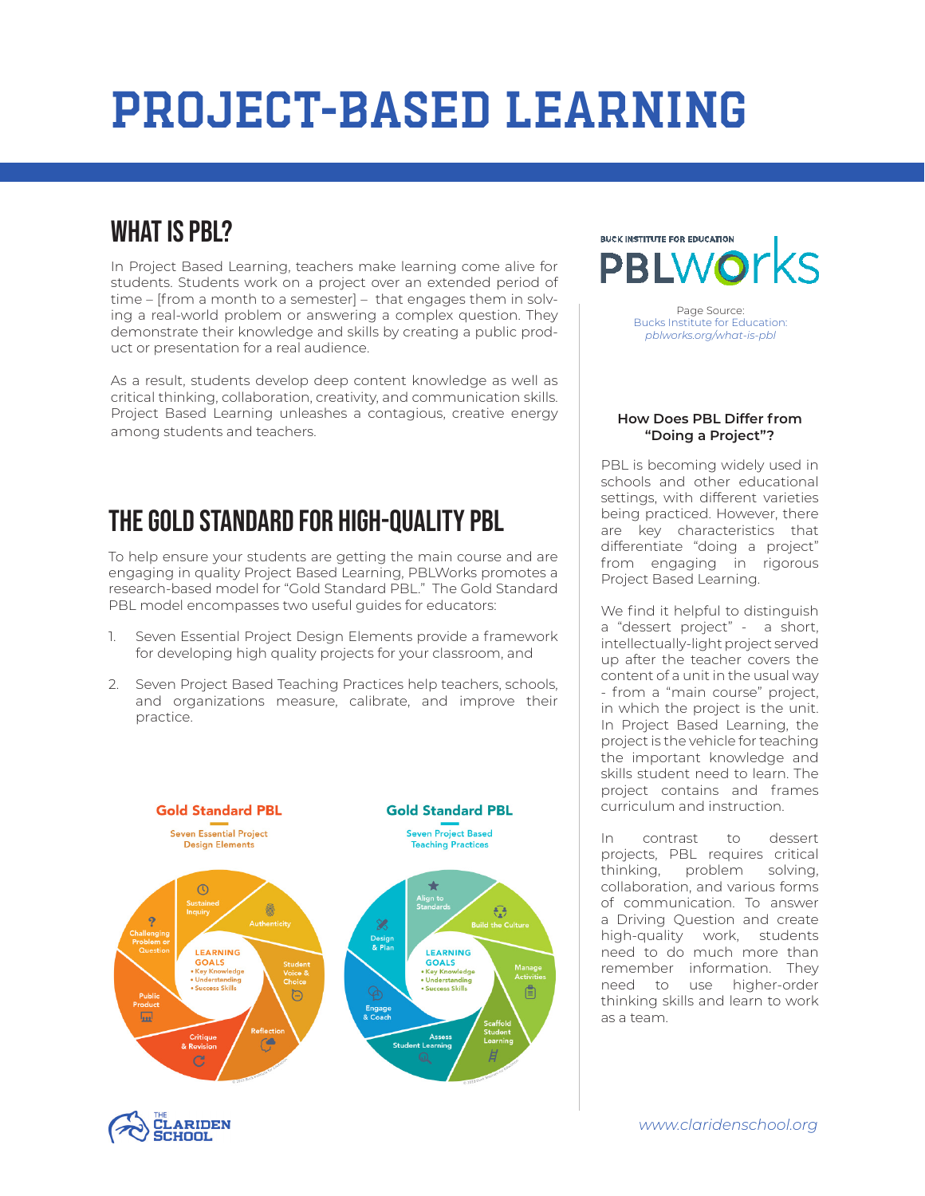## Project-Based Learning

### WHAT IS PRI?

In Project Based Learning, teachers make learning come alive for students. Students work on a project over an extended period of time – [from a month to a semester] – that engages them in solving a real-world problem or answering a complex question. They demonstrate their knowledge and skills by creating a public product or presentation for a real audience.

As a result, students develop deep content knowledge as well as critical thinking, collaboration, creativity, and communication skills. Project Based Learning unleashes a contagious, creative energy among students and teachers.

### The Gold Standard for High-Quality PBL

To help ensure your students are getting the main course and are engaging in quality Project Based Learning, PBLWorks promotes a research-based model for "Gold Standard PBL." The Gold Standard PBL model encompasses two useful guides for educators:

- 1. Seven Essential Project Design Elements provide a framework for developing high quality projects for your classroom, and
- 2. Seven Project Based Teaching Practices help teachers, schools, and organizations measure, calibrate, and improve their practice.





**BUCK INSTITUTE FOR EDUCATION** 

Page Source: Bucks Institute for Education: *pblworks.org/what-is-pbl*

#### **How Does PBL Differ from "Doing a Project"?**

PBL is becoming widely used in schools and other educational settings, with different varieties being practiced. However, there are key characteristics that differentiate "doing a project" from engaging in rigorous Project Based Learning.

We find it helpful to distinguish a "dessert project" - a short, intellectually-light project served up after the teacher covers the content of a unit in the usual way - from a "main course" project, in which the project is the unit. In Project Based Learning, the project is the vehicle for teaching the important knowledge and skills student need to learn. The project contains and frames curriculum and instruction.

In contrast to dessert projects, PBL requires critical thinking, problem solving, collaboration, and various forms of communication. To answer a Driving Question and create high-quality work, students need to do much more than remember information. They need to use higher-order thinking skills and learn to work as a team.